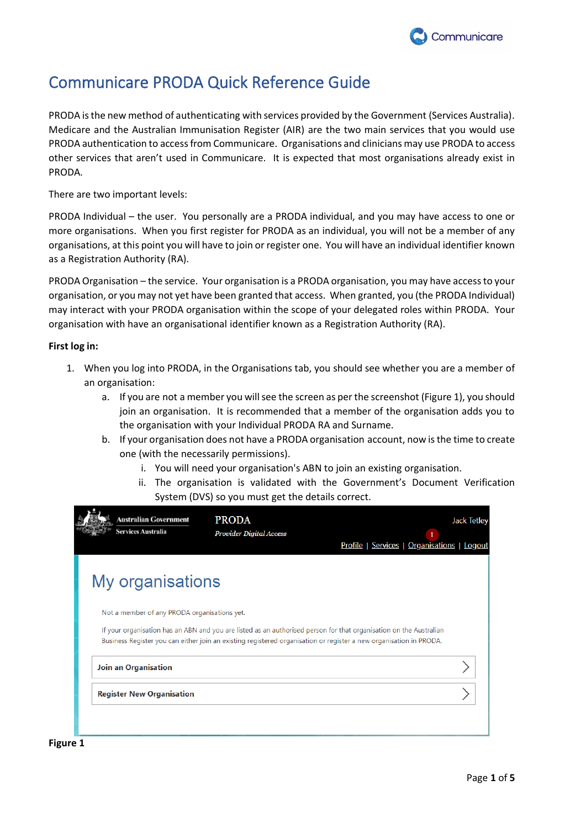

# Communicare PRODA Quick Reference Guide

PRODA is the new method of authenticating with services provided by the Government (Services Australia). Medicare and the Australian Immunisation Register (AIR) are the two main services that you would use PRODA authentication to access from Communicare. Organisations and clinicians may use PRODA to access other services that aren't used in Communicare. It is expected that most organisations already exist in PRODA.

There are two important levels:

PRODA Individual – the user. You personally are a PRODA individual, and you may have access to one or more organisations. When you first register for PRODA as an individual, you will not be a member of any organisations, at this point you will have to join or register one. You will have an individual identifier known as a Registration Authority (RA).

PRODA Organisation – the service. Your organisation is a PRODA organisation, you may have access to your organisation, or you may not yet have been granted that access. When granted, you (the PRODA Individual) may interact with your PRODA organisation within the scope of your delegated roles within PRODA. Your organisation with have an organisational identifier known as a Registration Authority (RA).

### **First log in:**

- 1. When you log into PRODA, in the Organisations tab, you should see whether you are a member of an organisation:
	- a. If you are not a member you will see the screen as per the screenshot (Figure 1), you should join an organisation. It is recommended that a member of the organisation adds you to the organisation with your Individual PRODA RA and Surname.
	- b. If your organisation does not have a PRODA organisation account, now is the time to create one (with the necessarily permissions).
		- i. You will need your organisation's ABN to join an existing organisation.
		- ii. The organisation is validated with the Government's Document Verification System (DVS) so you must get the details correct.

| <b>Australian Government</b><br>Services Australia | <b>PRODA</b><br><b>Provider Digital Access</b> | Profile   Services   Organisations   Logout                                                                                                                                                                                              | <b>Jack Tetley</b> |
|----------------------------------------------------|------------------------------------------------|------------------------------------------------------------------------------------------------------------------------------------------------------------------------------------------------------------------------------------------|--------------------|
| My organisations                                   |                                                |                                                                                                                                                                                                                                          |                    |
| Not a member of any PRODA organisations yet.       |                                                | If your organisation has an ABN and you are listed as an authorised person for that organisation on the Australian<br>Business Register you can either join an existing registered organisation or register a new organisation in PRODA. |                    |
| <b>Join an Organisation</b>                        |                                                |                                                                                                                                                                                                                                          |                    |
| <b>Register New Organisation</b>                   |                                                |                                                                                                                                                                                                                                          |                    |
|                                                    |                                                |                                                                                                                                                                                                                                          |                    |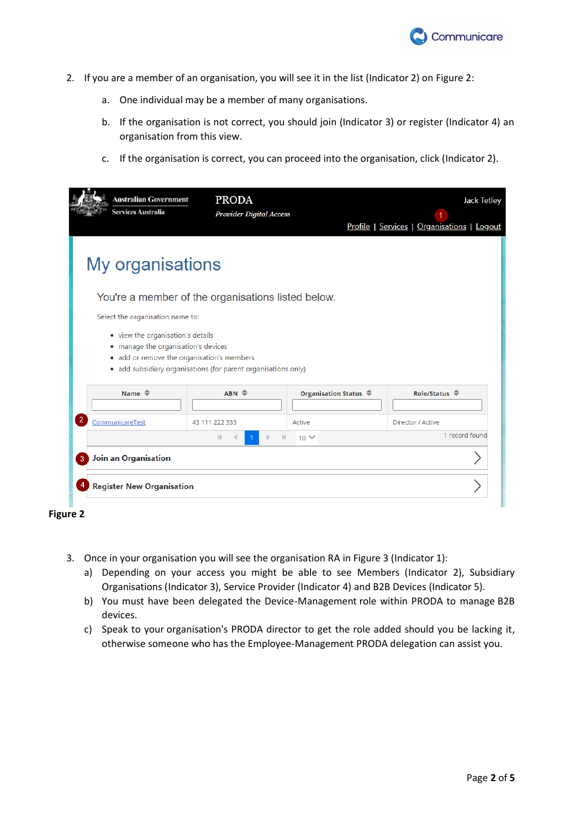

- 2. If you are a member of an organisation, you will see it in the list (Indicator 2) on Figure 2:
	- a. One individual may be a member of many organisations.
	- b. If the organisation is not correct, you should join (Indicator 3) or register (Indicator 4) an organisation from this view.
	- c. If the organisation is correct, you can proceed into the organisation, click (Indicator 2).

| <b>Australian Government</b><br>Services Australia                                                                                                                                       | <b>PRODA</b><br><b>Provider Digital Access</b>     |                                  | <b>Jack Tetley</b><br>Profile   Services   Organisations   Logout |  |  |
|------------------------------------------------------------------------------------------------------------------------------------------------------------------------------------------|----------------------------------------------------|----------------------------------|-------------------------------------------------------------------|--|--|
| My organisations                                                                                                                                                                         |                                                    |                                  |                                                                   |  |  |
|                                                                                                                                                                                          | You're a member of the organisations listed below. |                                  |                                                                   |  |  |
|                                                                                                                                                                                          | Select the organisation name to:                   |                                  |                                                                   |  |  |
| • view the organisation's details<br>• manage the organisation's devices<br>• add or remove the organisation's members<br>• add subsidiary organisations (for parent organisations only) |                                                    |                                  |                                                                   |  |  |
| Name $\triangleq$                                                                                                                                                                        | $ABN \Leftrightarrow$                              | Organisation Status $\triangleq$ | Role/Status $\triangleq$                                          |  |  |
| $\overline{2}$<br>CommunicareTest                                                                                                                                                        | 43 111 222 333                                     | Active                           | Director / Active                                                 |  |  |
|                                                                                                                                                                                          | м                                                  | $10 \vee$                        | 1 record found                                                    |  |  |
| <b>Join an Organisation</b><br>3                                                                                                                                                         |                                                    |                                  |                                                                   |  |  |
| <b>Register New Organisation</b>                                                                                                                                                         |                                                    |                                  |                                                                   |  |  |



- 3. Once in your organisation you will see the organisation RA in Figure 3 (Indicator 1):
	- a) Depending on your access you might be able to see Members (Indicator 2), Subsidiary Organisations (Indicator 3), Service Provider (Indicator 4) and B2B Devices (Indicator 5).
	- b) You must have been delegated the Device-Management role within PRODA to manage B2B devices.
	- c) Speak to your organisation's PRODA director to get the role added should you be lacking it, otherwise someone who has the Employee-Management PRODA delegation can assist you.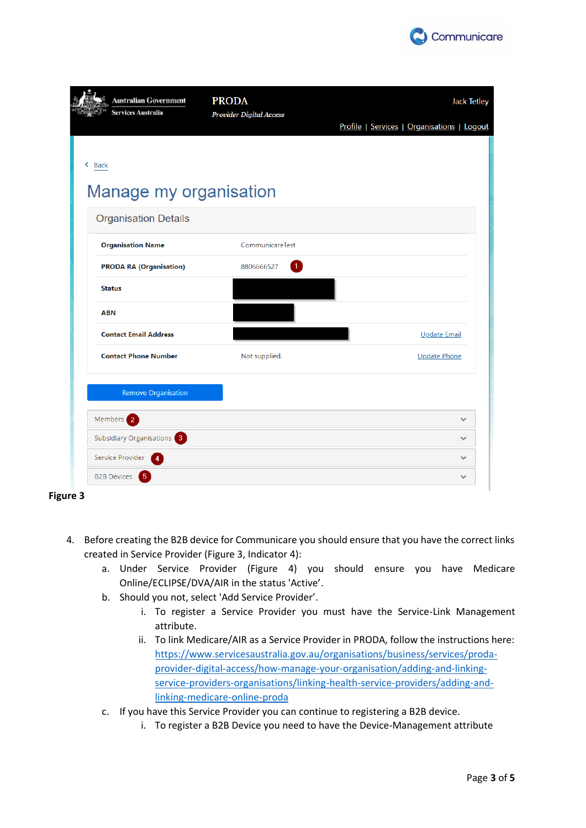

|                  | <b>Australian Government</b><br><b>PRODA</b><br><b>Services Australia</b><br>Provider Digital Access |                            | <b>Jack Tetley</b>                          |
|------------------|------------------------------------------------------------------------------------------------------|----------------------------|---------------------------------------------|
|                  |                                                                                                      |                            | Profile   Services   Organisations   Logout |
| $\triangle$ Back |                                                                                                      |                            |                                             |
|                  | Manage my organisation                                                                               |                            |                                             |
|                  | <b>Organisation Details</b>                                                                          |                            |                                             |
|                  | <b>Organisation Name</b>                                                                             | CommunicareTest            |                                             |
|                  | <b>PRODA RA (Organisation)</b>                                                                       | 8806666527<br>$\mathbf{1}$ |                                             |
|                  | <b>Status</b>                                                                                        |                            |                                             |
|                  | <b>ABN</b>                                                                                           |                            |                                             |
|                  | <b>Contact Email Address</b>                                                                         |                            | Update Email                                |
|                  | <b>Contact Phone Number</b>                                                                          | Not supplied.              | <b>Update Phone</b>                         |
|                  | <b>Remove Organisation</b>                                                                           |                            |                                             |
|                  | Members 2                                                                                            |                            | $\checkmark$                                |
|                  | Subsidiary Organisations <sup>3</sup>                                                                |                            | $\checkmark$                                |
|                  | Service Provider<br>4                                                                                |                            | $\checkmark$                                |
|                  |                                                                                                      |                            |                                             |

- 4. Before creating the B2B device for Communicare you should ensure that you have the correct links created in Service Provider (Figure 3, Indicator 4):
	- a. Under Service Provider (Figure 4) you should ensure you have Medicare Online/ECLIPSE/DVA/AIR in the status 'Active'.
	- b. Should you not, select 'Add Service Provider'.
		- i. To register a Service Provider you must have the Service-Link Management attribute.
		- ii. To link Medicare/AIR as a Service Provider in PRODA, follow the instructions here: [https://www.servicesaustralia.gov.au/organisations/business/services/proda](https://www.servicesaustralia.gov.au/organisations/business/services/proda-provider-digital-access/how-manage-your-organisation/adding-and-linking-service-providers-organisations/linking-health-service-providers/adding-and-linking-medicare-online-proda)[provider-digital-access/how-manage-your-organisation/adding-and-linking](https://www.servicesaustralia.gov.au/organisations/business/services/proda-provider-digital-access/how-manage-your-organisation/adding-and-linking-service-providers-organisations/linking-health-service-providers/adding-and-linking-medicare-online-proda)[service-providers-organisations/linking-health-service-providers/adding-and](https://www.servicesaustralia.gov.au/organisations/business/services/proda-provider-digital-access/how-manage-your-organisation/adding-and-linking-service-providers-organisations/linking-health-service-providers/adding-and-linking-medicare-online-proda)[linking-medicare-online-proda](https://www.servicesaustralia.gov.au/organisations/business/services/proda-provider-digital-access/how-manage-your-organisation/adding-and-linking-service-providers-organisations/linking-health-service-providers/adding-and-linking-medicare-online-proda)
	- c. If you have this Service Provider you can continue to registering a B2B device.
		- i. To register a B2B Device you need to have the Device-Management attribute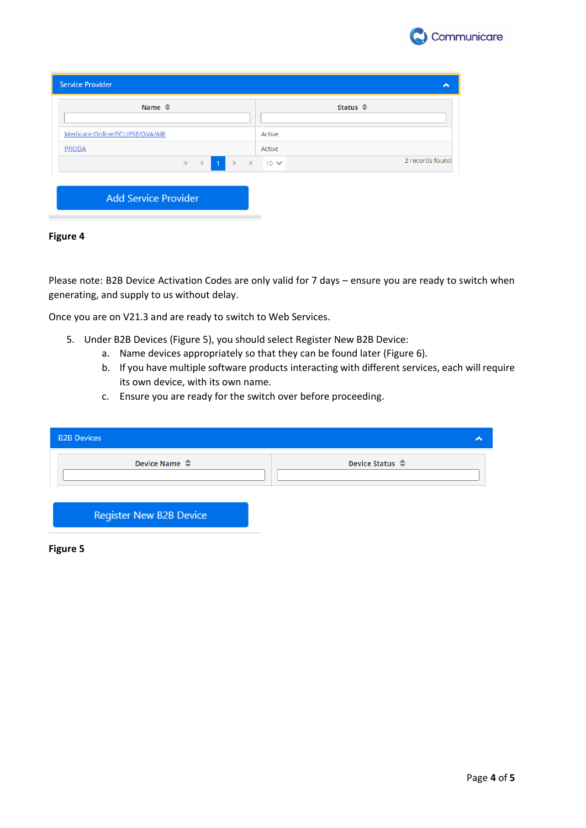

| <b>Service Provider</b>                           | ㅅ                           |
|---------------------------------------------------|-----------------------------|
| Name $\triangleq$                                 | Status $\triangle$          |
| Medicare Online/ECLIPSE/DVA/AIR                   | Active                      |
| <b>PRODA</b>                                      | Active                      |
| $\blacksquare$<br>$ \mathbf{q} $<br>$\rightarrow$ | 2 records found<br>▶ ▶ 10 ∨ |
|                                                   |                             |
| <b>Add Service Provider</b>                       |                             |

### **Figure 4**

Please note: B2B Device Activation Codes are only valid for 7 days – ensure you are ready to switch when generating, and supply to us without delay.

Once you are on V21.3 and are ready to switch to Web Services.

- 5. Under B2B Devices (Figure 5), you should select Register New B2B Device:
	- a. Name devices appropriately so that they can be found later (Figure 6).
	- b. If you have multiple software products interacting with different services, each will require its own device, with its own name.
	- c. Ensure you are ready for the switch over before proceeding.

| <b>B2B Devices</b>             |                            |
|--------------------------------|----------------------------|
| Device Name $\triangleq$       | Device Status $\triangleq$ |
| <b>Register New B2B Device</b> |                            |

**Figure 5**